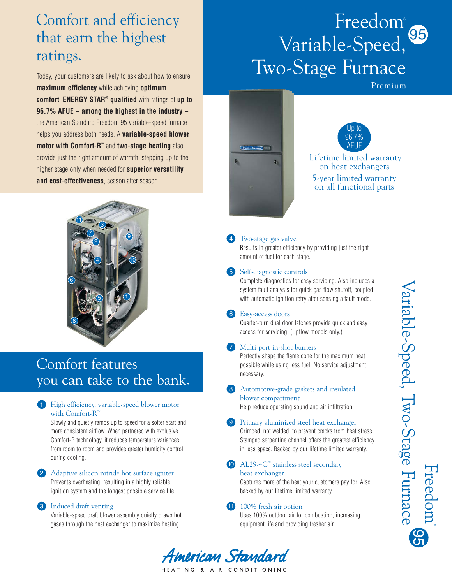# Comfort and efficiency that earn the highest ratings.

Today, your customers are likely to ask about how to ensure **maximum efficiency** while achieving **optimum comfort**. **ENERGY STAR® qualified** with ratings of **up to 96.7% AFUE – among the highest in the industry –** the American Standard Freedom 95 variable-speed furnace helps you address both needs. A **variable-speed blower motor with Comfort-R™** and **two-stage heating** also provide just the right amount of warmth, stepping up to the higher stage only when needed for **superior versatility and cost-effectiveness**, season after season.



# Comfort features you can take to the bank.

### 1 High efficiency, variable-speed blower motor with Comfort-R<sup>™</sup>

Slowly and quietly ramps up to speed for a softer start and more consistent airflow. When partnered with exclusive Comfort-R technology, it reduces temperature variances from room to room and provides greater humidity control during cooling.

### 2 Adaptive silicon nitride hot surface igniter Prevents overheating, resulting in a highly reliable ignition system and the longest possible service life.

### **3** Induced draft venting

Variable-speed draft blower assembly quietly draws hot gases through the heat exchanger to maximize heating.

# 95 Freedom® Variable-Speed, Two-Stage Furnace

Premium





Lifetime limited warranty on heat exchangers 5-year limited warranty on all functional parts

#### Two-stage gas valve 4

Results in greater efficiency by providing just the right amount of fuel for each stage.

#### Self-diagnostic controls 5

Complete diagnostics for easy servicing. Also includes a system fault analysis for quick gas flow shutoff, coupled with automatic ignition retry after sensing a fault mode.

### Easy-access doors 6

Quarter-turn dual door latches provide quick and easy access for servicing. (Upflow models only.)

#### Multi-port in-shot burners 7

Perfectly shape the flame cone for the maximum heat possible while using less fuel. No service adjustment necessary.

#### Automotive-grade gaskets and insulated blower compartment 8

Help reduce operating sound and air infiltration.

#### **9** Primary aluminized steel heat exchanger

Crimped, not welded, to prevent cracks from heat stress. Stamped serpentine channel offers the greatest efficiency in less space. Backed by our lifetime limited warranty.

### AL29-4C™ stainless steel secondary 10

#### heat exchanger

Captures more of the heat your customers pay for. Also backed by our lifetime limited warranty.

### 11 100% fresh air option

American Standard HEATING & AIR CONDITIONING

Uses 100% outdoor air for combustion, increasing equipment life and providing fresher air.